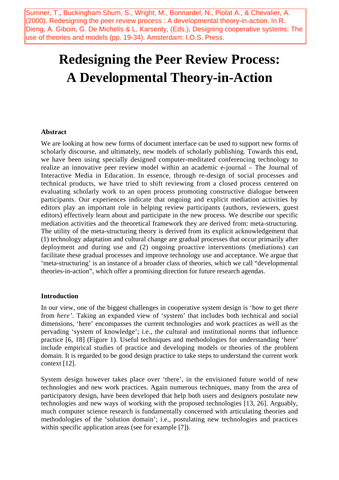Sumner, T., Buckingham Shum, S., Wright, M., Bonnardel, N., Piolat A., & Chevalier, A. (2000). Redesigning the peer review process : A developmental theory-in-action. In R. Dieng, A. Giboin, G. De Michelis & L. Karsenty, (Eds.), Designing cooperative systems: The use of theories and models (pp. 19-34). Amsterdam: I.O.S. Press.

# **Redesigning the Peer Review Process: A Developmental Theory-in-Action**

## **Abstract**

We are looking at how new forms of document interface can be used to support new forms of scholarly discourse, and ultimately, new models of scholarly publishing. Towards this end, we have been using specially designed computer-meditated conferencing technology to realize an innovative peer review model within an academic e-journal – The Journal of Interactive Media in Education. In essence, through re-design of social processes and technical products, we have tried to shift reviewing from a closed process centered on evaluating scholarly work to an open process promoting constructive dialogue between participants. Our experiences indicate that ongoing and explicit mediation activities by editors play an important role in helping review participants (authors, reviewers, guest editors) effectively learn about and participate in the new process. We describe our specific mediation activities and the theoretical framework they are derived from: meta-structuring. The utility of the meta-structuring theory is derived from its explicit acknowledgement that (1) technology adaptation and cultural change are gradual processes that occur primarily after deployment and during use and (2) ongoing proactive interventions (mediations) can facilitate these gradual processes and improve technology use and acceptance. We argue that 'meta-structuring' is an instance of a broader class of theories, which we call "developmental theories-in-action", which offer a promising direction for future research agendas.

#### **Introduction**

In our view, one of the biggest challenges in cooperative system design is 'how to get *there* from *here'*. Taking an expanded view of 'system' that includes both technical and social dimensions, 'here' encompasses the current technologies and work practices as well as the pervading 'system of knowledge'; i.e., the cultural and institutional norms that influence practice [6, 18] (Figure 1). Useful techniques and methodologies for understanding 'here' include empirical studies of practice and developing models or theories of the problem domain. It is regarded to be good design practice to take steps to understand the current work context [12].

System design however takes place over 'there', in the envisioned future world of new technologies and new work practices. Again numerous techniques, many from the area of participatory design, have been developed that help both users and designers postulate new technologies and new ways of working with the proposed technologies [13, 26]. Arguably, much computer science research is fundamentally concerned with articulating theories and methodologies of the 'solution domain'; i.e., postulating new technologies and practices within specific application areas (see for example [7]).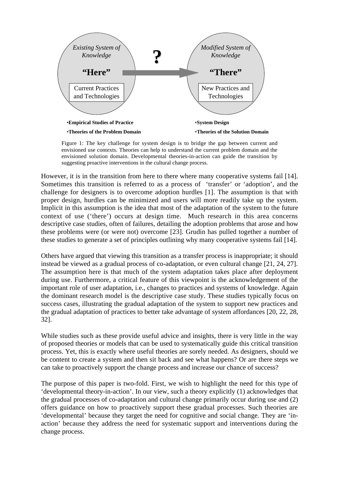

Figure 1: The key challenge for system design is to bridge the gap between current and envisioned use contexts. Theories can help to understand the current problem domain and the envisioned solution domain. Developmental theories-in-action can guide the transition by suggesting proactive interventions in the cultural change process.

However, it is in the transition from here to there where many cooperative systems fail [14]. Sometimes this transition is referred to as a process of 'transfer' or 'adoption', and the challenge for designers is to overcome adoption hurdles [1]. The assumption is that with proper design, hurdles can be minimized and users will more readily take up the system. Implicit in this assumption is the idea that most of the adaptation of the system to the future context of use ('there') occurs at design time. Much research in this area concerns descriptive case studies, often of failures, detailing the adoption problems that arose and how these problems were (or were not) overcome [23]. Grudin has pulled together a number of these studies to generate a set of principles outlining why many cooperative systems fail [14].

Others have argued that viewing this transition as a transfer process is inappropriate; it should instead be viewed as a gradual process of co-adaptation, or even cultural change [21, 24, 27]. The assumption here is that much of the system adaptation takes place after deployment during use. Furthermore, a critical feature of this viewpoint is the acknowledgement of the important role of user adaptation, i.e., changes to practices and systems of knowledge. Again the dominant research model is the descriptive case study. These studies typically focus on success cases, illustrating the gradual adaptation of the system to support new practices and the gradual adaptation of practices to better take advantage of system affordances [20, 22, 28, 32].

While studies such as these provide useful advice and insights, there is very little in the way of proposed theories or models that can be used to systematically guide this critical transition process. Yet, this is exactly where useful theories are sorely needed. As designers, should we be content to create a system and then sit back and see what happens? Or are there steps we can take to proactively support the change process and increase our chance of success?

The purpose of this paper is two-fold. First, we wish to highlight the need for this type of 'developmental theory-in-action'. In our view, such a theory explicitly (1) acknowledges that the gradual processes of co-adaptation and cultural change primarily occur during use and (2) offers guidance on how to proactively support these gradual processes. Such theories are 'developmental' because they target the need for cognitive and social change. They are 'inaction' because they address the need for systematic support and interventions during the change process.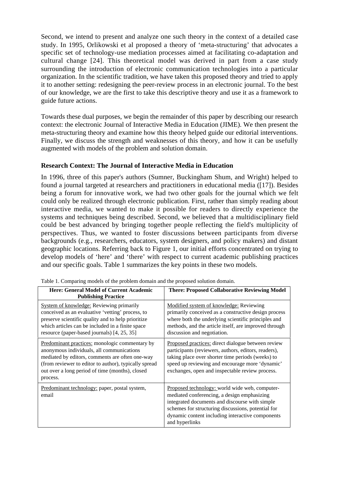Second, we intend to present and analyze one such theory in the context of a detailed case study. In 1995, Orlikowski et al proposed a theory of 'meta-structuring' that advocates a specific set of technology-use mediation processes aimed at facilitating co-adaptation and cultural change [24]. This theoretical model was derived in part from a case study surrounding the introduction of electronic communication technologies into a particular organization. In the scientific tradition, we have taken this proposed theory and tried to apply it to another setting: redesigning the peer-review process in an electronic journal. To the best of our knowledge, we are the first to take this descriptive theory and use it as a framework to guide future actions.

Towards these dual purposes, we begin the remainder of this paper by describing our research context: the electronic Journal of Interactive Media in Education (JIME). We then present the meta-structuring theory and examine how this theory helped guide our editorial interventions. Finally, we discuss the strength and weaknesses of this theory, and how it can be usefully augmented with models of the problem and solution domain.

# **Research Context: The Journal of Interactive Media in Education**

In 1996, three of this paper's authors (Sumner, Buckingham Shum, and Wright) helped to found a journal targeted at researchers and practitioners in educational media ([17]). Besides being a forum for innovative work, we had two other goals for the journal which we felt could only be realized through electronic publication. First, rather than simply reading about interactive media, we wanted to make it possible for readers to directly experience the systems and techniques being described. Second, we believed that a multidisciplinary field could be best advanced by bringing together people reflecting the field's multiplicity of perspectives. Thus, we wanted to foster discussions between participants from diverse backgrounds (e.g., researchers, educators, system designers, and policy makers) and distant geographic locations. Referring back to Figure 1, our initial efforts concentrated on trying to develop models of 'here' and 'there' with respect to current academic publishing practices and our specific goals. Table 1 summarizes the key points in these two models.

| <b>Here: General Model of Current Academic</b><br><b>Publishing Practice</b>                                                                                                                                                                                           | <b>There: Proposed Collaborative Reviewing Model</b>                                                                                                                                                                                                                        |
|------------------------------------------------------------------------------------------------------------------------------------------------------------------------------------------------------------------------------------------------------------------------|-----------------------------------------------------------------------------------------------------------------------------------------------------------------------------------------------------------------------------------------------------------------------------|
| <b>System of knowledge:</b> Reviewing primarily<br>conceived as an evaluative 'vetting' process, to<br>preserve scientific quality and to help prioritize<br>which articles can be included in a finite space<br>resource (paper-based journals) [4, 25, 35]           | Modified system of knowledge: Reviewing<br>primarily conceived as a constructive design process<br>where both the underlying scientific principles and<br>methods, and the article itself, are improved through<br>discussion and negotiation.                              |
| Predominant practices: monologic commentary by<br>anonymous individuals, all communications<br>mediated by editors, comments are often one-way<br>(from reviewer to editor to author), typically spread<br>out over a long period of time (months), closed<br>process. | Proposed practices: direct dialogue between review<br>participants (reviewers, authors, editors, readers),<br>taking place over shorter time periods (weeks) to<br>speed up reviewing and encourage more 'dynamic'<br>exchanges, open and inspectable review process.       |
| Predominant technology: paper, postal system,<br>email                                                                                                                                                                                                                 | Proposed technology: world wide web, computer-<br>mediated conferencing, a design emphasizing<br>integrated documents and discourse with simple<br>schemes for structuring discussions, potential for<br>dynamic content including interactive components<br>and hyperlinks |

Table 1. Comparing models of the problem domain and the proposed solution domain.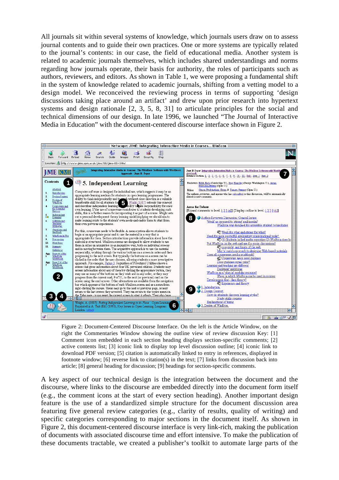All journals sit within several systems of knowledge, which journals users draw on to assess journal contents and to guide their own practices. One or more systems are typically related to the journal's contents: in our case, the field of educational media. Another system is related to academic journals themselves, which includes shared understandings and norms regarding how journals operate, their basis for authority, the roles of participants such as authors, reviewers, and editors. As shown in Table 1, we were proposing a fundamental shift in the system of knowledge related to academic journals, shifting from a vetting model to a design model. We reconceived the reviewing process in terms of supporting 'design discussions taking place around an artifact' and drew upon prior research into hypertext systems and design rationale [2, 3, 5, 8, 31] to articulate principles for the social and technical dimensions of our design. In late 1996, we launched "The Journal of Interactive Media in Education" with the document-centered discourse interface shown in Figure 2.



Figure 2: Document-Centered Discourse Interface. On the left is the Article Window, on the right the Commentaries Window showing the outline view of review discussion Key: [1] Comment icon embedded in each section heading displays section-specific comments; [2] active contents list; [3] iconic link to display top level discussion outline; [4] iconic link to download PDF version; [5] citation is automatically linked to entry in references, displayed in footnote window; [6] reverse link to citation(s) in the text; [7] links from discussion back into article; [8] general heading for discussion; [9] headings for section-specific comments.

A key aspect of our technical design is the integration between the document and the discourse, where links to the discourse are embedded directly into the document form itself (e.g., the comment icons at the start of every section heading). Another important design feature is the use of a standardized simple structure for the document discussion area featuring five general review categories (e.g., clarity of results, quality of writing) and specific categories corresponding to major sections in the document itself. As shown in Figure 2, this document-centered discourse interface is very link-rich, making the publication of documents with associated discourse time and effort intensive. To make the publication of these documents tractable, we created a publisher's toolkit to automate large parts of the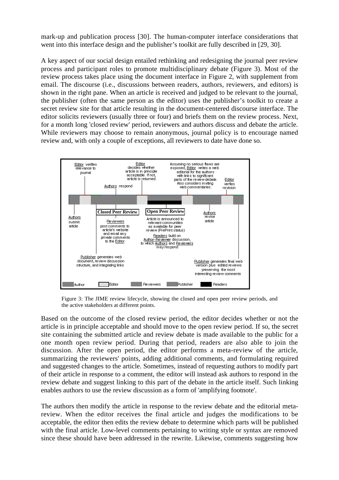mark-up and publication process [30]. The human-computer interface considerations that went into this interface design and the publisher's toolkit are fully described in [29, 30].

A key aspect of our social design entailed rethinking and redesigning the journal peer review process and participant roles to promote multidisciplinary debate (Figure 3). Most of the review process takes place using the document interface in Figure 2, with supplement from email. The discourse (i.e., discussions between readers, authors, reviewers, and editors) is shown in the right pane. When an article is received and judged to be relevant to the journal, the publisher (often the same person as the editor) uses the publisher's toolkit to create a secret review site for that article resulting in the document-centered discourse interface. The editor solicits reviewers (usually three or four) and briefs them on the review process. Next, for a month long 'closed review' period, reviewers and authors discuss and debate the article. While reviewers may choose to remain anonymous, journal policy is to encourage named review and, with only a couple of exceptions, all reviewers to date have done so.



Figure 3: The JIME review lifecycle, showing the closed and open peer review periods, and the active stakeholders at different points.

Based on the outcome of the closed review period, the editor decides whether or not the article is in principle acceptable and should move to the open review period. If so, the secret site containing the submitted article and review debate is made available to the public for a one month open review period. During that period, readers are also able to join the discussion. After the open period, the editor performs a meta-review of the article, summarizing the reviewers' points, adding additional comments, and formulating required and suggested changes to the article. Sometimes, instead of requesting authors to modify part of their article in response to a comment, the editor will instead ask authors to respond in the review debate and suggest linking to this part of the debate in the article itself. Such linking enables authors to use the review discussion as a form of 'amplifying footnote'.

The authors then modify the article in response to the review debate and the editorial metareview. When the editor receives the final article and judges the modifications to be acceptable, the editor then edits the review debate to determine which parts will be published with the final article. Low-level comments pertaining to writing style or syntax are removed since these should have been addressed in the rewrite. Likewise, comments suggesting how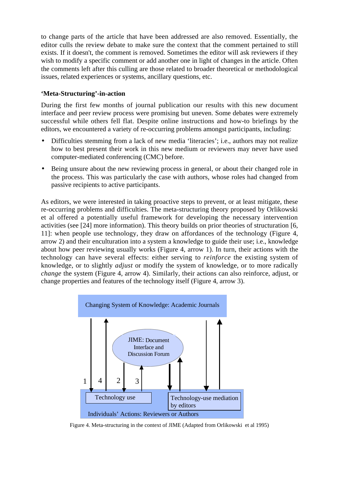to change parts of the article that have been addressed are also removed. Essentially, the editor culls the review debate to make sure the context that the comment pertained to still exists. If it doesn't, the comment is removed. Sometimes the editor will ask reviewers if they wish to modify a specific comment or add another one in light of changes in the article. Often the comments left after this culling are those related to broader theoretical or methodological issues, related experiences or systems, ancillary questions, etc.

# **'Meta-Structuring'-in-action**

During the first few months of journal publication our results with this new document interface and peer review process were promising but uneven. Some debates were extremely successful while others fell flat. Despite online instructions and how-to briefings by the editors, we encountered a variety of re-occurring problems amongst participants, including:

- Difficulties stemming from a lack of new media 'literacies'; i.e., authors may not realize how to best present their work in this new medium or reviewers may never have used computer-mediated conferencing (CMC) before.
- Being unsure about the new reviewing process in general, or about their changed role in the process. This was particularly the case with authors, whose roles had changed from passive recipients to active participants.

As editors, we were interested in taking proactive steps to prevent, or at least mitigate, these re-occurring problems and difficulties. The meta-structuring theory proposed by Orlikowski et al offered a potentially useful framework for developing the necessary intervention activities (see [24] more information). This theory builds on prior theories of structuration [6, 11]: when people use technology, they draw on affordances of the technology (Figure 4, arrow 2) and their enculturation into a system a knowledge to guide their use; i.e., knowledge about how peer reviewing usually works (Figure 4, arrow 1). In turn, their actions with the technology can have several effects: either serving to *reinforce* the existing system of knowledge, or to slightly *adjust* or modify the system of knowledge, or to more radically *change* the system (Figure 4, arrow 4). Similarly, their actions can also reinforce, adjust, or change properties and features of the technology itself (Figure 4, arrow 3).



Figure 4. Meta-structuring in the context of JIME (Adapted from Orlikowski et al 1995)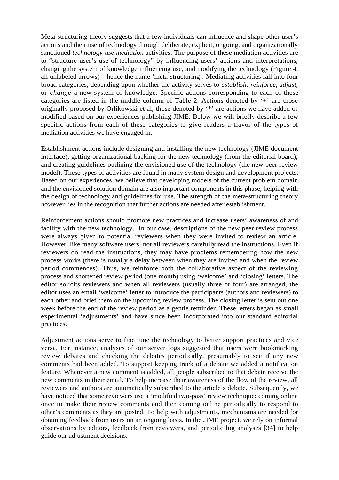Meta-structuring theory suggests that a few individuals can influence and shape other user's actions and their use of technology through deliberate, explicit, ongoing, and organizationally sanctioned *technology-use mediation* activities. The purpose of these mediation activities are to "structure user's use of technology" by influencing users' actions and interpretations, changing the system of knowledge influencing use, and modifying the technology (Figure 4, all unlabeled arrows) – hence the name 'meta-structuring'. Mediating activities fall into four broad categories, depending upon whether the activity serves to *establish*, *reinforce*, *adjust*, or *change* a new system of knowledge. Specific actions corresponding to each of these categories are listed in the middle column of Table 2. Actions denoted by '+' are those originally proposed by Orlikowski et al; those denoted by '\*' are actions we have added or modified based on our experiences publishing JIME. Below we will briefly describe a few specific actions from each of these categories to give readers a flavor of the types of mediation activities we have engaged in.

Establishment actions include designing and installing the new technology (JIME document interface), getting organizational backing for the new technology (from the editorial board), and creating guidelines outlining the envisioned use of the technology (the new peer review model). These types of activities are found in many system design and development projects. Based on our experiences, we believe that developing models of the current problem domain and the envisioned solution domain are also important components in this phase, helping with the design of technology and guidelines for use. The strength of the meta-structuring theory however lies in the recognition that further actions are needed after establishment.

Reinforcement actions should promote new practices and increase users' awareness of and facility with the new technology. In our case, descriptions of the new peer review process were always given to potential reviewers when they were invited to review an article. However, like many software users, not all reviewers carefully read the instructions. Even if reviewers do read the instructions, they may have problems remembering how the new process works (there is usually a delay between when they are invited and when the review period commences). Thus, we reinforce both the collaborative aspect of the reviewing process and shortened review period (one month) using 'welcome' and 'closing' letters. The editor solicits reviewers and when all reviewers (usually three or four) are arranged, the editor uses an email 'welcome' letter to introduce the participants (authors and reviewers) to each other and brief them on the upcoming review process. The closing letter is sent out one week before the end of the review period as a gentle reminder. These letters began as small experimental 'adjustments' and have since been incorporated into our standard editorial practices.

Adjustment actions serve to fine tune the technology to better support practices and vice versa. For instance, analyses of our server logs suggested that users were bookmarking review debates and checking the debates periodically, presumably to see if any new comments had been added. To support keeping track of a debate we added a notification feature. Whenever a new comment is added, all people subscribed to that debate receive the new comments in their email. To help increase their awareness of the flow of the review, all reviewers and authors are automatically subscribed to the article's debate. Subsequently, we have noticed that some reviewers use a 'modified two-pass' review technique: coming online once to make their review comments and then coming online periodically to respond to other's comments as they are posted. To help with adjustments, mechanisms are needed for obtaining feedback from users on an ongoing basis. In the JIME project, we rely on informal observations by editors, feedback from reviewers, and periodic log analyses [34] to help guide our adjustment decisions.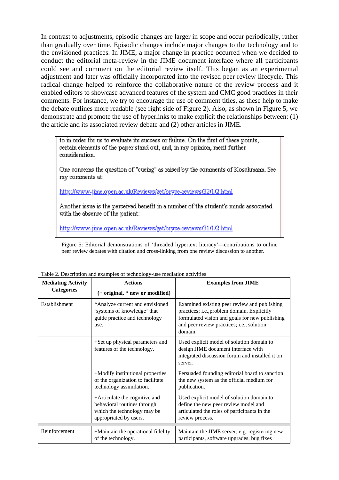In contrast to adjustments, episodic changes are larger in scope and occur periodically, rather than gradually over time. Episodic changes include major changes to the technology and to the envisioned practices. In JIME, a major change in practice occurred when we decided to conduct the editorial meta-review in the JIME document interface where all participants could see and comment on the editorial review itself. This began as an experimental adjustment and later was officially incorporated into the revised peer review lifecycle. This radical change helped to reinforce the collaborative nature of the review process and it enabled editors to showcase advanced features of the system and CMC good practices in their comments. For instance, we try to encourage the use of comment titles, as these help to make the debate outlines more readable (see right side of Figure 2). Also, as shown in Figure 5, we demonstrate and promote the use of hyperlinks to make explicit the relationships between: (1) the article and its associated review debate and (2) other articles in JIME.

to in order for us to evaluate its success or failure. On the first of these points, certain elements of the paper stand out, and, in my opinion, merit further consideration.

One concerns the question of "cueing" as raised by the comments of Koschmann. See my comments at:

http://www-iime.open.ac.uk/Reviews/get/brvce-reviews/32/1/2.html

Another issue is the perceived benefit in a number of the student's minds associated with the absence of the patient:

http://www-jime.open.ac.uk/Reviews/get/brvce-reviews/31/1/2.html

Figure 5: Editorial demonstrations of 'threaded hypertext literacy'—contributions to online peer review debates with citation and cross-linking from one review discussion to another.

| <b>Mediating Activity</b><br><b>Categories</b> | <b>Actions</b><br>(+ original, * new or modified)                                                                     | <b>Examples from JIME</b>                                                                                                                                                                             |
|------------------------------------------------|-----------------------------------------------------------------------------------------------------------------------|-------------------------------------------------------------------------------------------------------------------------------------------------------------------------------------------------------|
| Establishment                                  | *Analyze current and envisioned<br>'systems of knowledge' that<br>guide practice and technology<br>use.               | Examined existing peer review and publishing<br>practices; i.e,, problem domain. Explicitly<br>formulated vision and goals for new publishing<br>and peer review practices; i.e., solution<br>domain. |
|                                                | +Set up physical parameters and<br>features of the technology.                                                        | Used explicit model of solution domain to<br>design JIME document interface with<br>integrated discussion forum and installed it on<br>server.                                                        |
|                                                | +Modify institutional properties<br>of the organization to facilitate<br>technology assimilation.                     | Persuaded founding editorial board to sanction<br>the new system as the official medium for<br>publication.                                                                                           |
|                                                | +Articulate the cognitive and<br>behavioral routines through<br>which the technology may be<br>appropriated by users. | Used explicit model of solution domain to<br>define the new peer review model and<br>articulated the roles of participants in the<br>review process.                                                  |
|                                                |                                                                                                                       |                                                                                                                                                                                                       |
| Reinforcement                                  | +Maintain the operational fidelity<br>of the technology.                                                              | Maintain the JIME server; e.g. registering new<br>participants, software upgrades, bug fixes                                                                                                          |

Table 2. Description and examples of technology-use mediation activities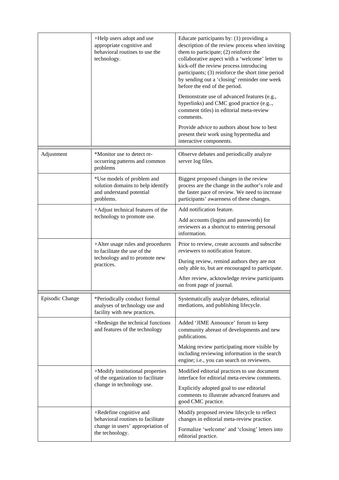|                                                                                                                      | +Help users adopt and use<br>appropriate cognitive and<br>behavioral routines to use the<br>technology.          | Educate participants by: (1) providing a<br>description of the review process when inviting<br>them to participate; (2) reinforce the<br>collaborative aspect with a 'welcome' letter to<br>kick-off the review process introducing<br>participants; (3) reinforce the short time period<br>by sending out a 'closing' reminder one week<br>before the end of the period.<br>Demonstrate use of advanced features (e.g.,<br>hyperlinks) and CMC good practice (e.g,<br>comment titles) in editorial meta-review<br>comments. |
|----------------------------------------------------------------------------------------------------------------------|------------------------------------------------------------------------------------------------------------------|------------------------------------------------------------------------------------------------------------------------------------------------------------------------------------------------------------------------------------------------------------------------------------------------------------------------------------------------------------------------------------------------------------------------------------------------------------------------------------------------------------------------------|
|                                                                                                                      |                                                                                                                  | Provide advice to authors about how to best<br>present their work using hypermedia and<br>interactive components.                                                                                                                                                                                                                                                                                                                                                                                                            |
| Adjustment                                                                                                           | *Monitor use to detect re-<br>occurring patterns and common<br>problems                                          | Observe debates and periodically analyze<br>server log files.                                                                                                                                                                                                                                                                                                                                                                                                                                                                |
|                                                                                                                      | *Use models of problem and<br>solution domains to help identify<br>and understand potential<br>problems.         | Biggest proposed changes in the review<br>process are the change in the author's role and<br>the faster pace of review. We need to increase<br>participants' awareness of these changes.                                                                                                                                                                                                                                                                                                                                     |
|                                                                                                                      | +Adjust technical features of the<br>technology to promote use.                                                  | Add notification feature.<br>Add accounts (logins and passwords) for<br>reviewers as a shortcut to entering personal<br>information.                                                                                                                                                                                                                                                                                                                                                                                         |
|                                                                                                                      | +Alter usage rules and procedures<br>to facilitate the use of the<br>technology and to promote new<br>practices. | Prior to review, create accounts and subscribe<br>reviewers to notification feature.<br>During review, remind authors they are not<br>only able to, but are encouraged to participate.<br>After review, acknowledge review participants<br>on front page of journal.                                                                                                                                                                                                                                                         |
| Episodic Change                                                                                                      | *Periodically conduct formal<br>analyses of technology use and<br>facility with new practices.                   | Systematically analyze debates, editorial<br>mediations, and publishing lifecycle.                                                                                                                                                                                                                                                                                                                                                                                                                                           |
|                                                                                                                      | +Redesign the technical functions<br>and features of the technology                                              | Added 'JIME Announce' forum to keep<br>community abreast of developments and new<br>publications.                                                                                                                                                                                                                                                                                                                                                                                                                            |
|                                                                                                                      |                                                                                                                  | Making review participating more visible by<br>including reviewing information in the search<br>engine; i.e., you can search on reviewers.                                                                                                                                                                                                                                                                                                                                                                                   |
|                                                                                                                      | +Modify institutional properties<br>of the organization to facilitate                                            | Modified editorial practices to use document<br>interface for editorial meta-review comments.                                                                                                                                                                                                                                                                                                                                                                                                                                |
| change in technology use.                                                                                            | Explicitly adopted goal to use editorial<br>comments to illustrate advanced features and<br>good CMC practice.   |                                                                                                                                                                                                                                                                                                                                                                                                                                                                                                                              |
| +Redefine cognitive and<br>behavioral routines to facilitate<br>change in users' appropriation of<br>the technology. | Modify proposed review lifecycle to reflect<br>changes in editorial meta-review practice.                        |                                                                                                                                                                                                                                                                                                                                                                                                                                                                                                                              |
|                                                                                                                      |                                                                                                                  | Formalize 'welcome' and 'closing' letters into<br>editorial practice.                                                                                                                                                                                                                                                                                                                                                                                                                                                        |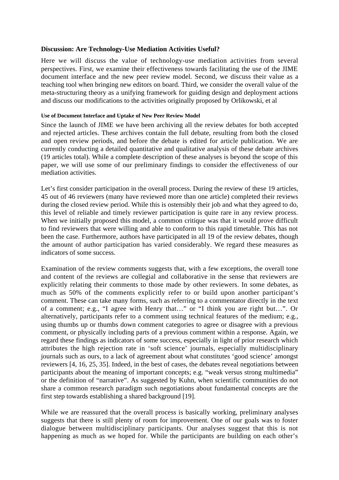## **Discussion: Are Technology-Use Mediation Activities Useful?**

Here we will discuss the value of technology-use mediation activities from several perspectives. First, we examine their effectiveness towards facilitating the use of the JIME document interface and the new peer review model. Second, we discuss their value as a teaching tool when bringing new editors on board. Third, we consider the overall value of the meta-structuring theory as a unifying framework for guiding design and deployment actions and discuss our modifications to the activities originally proposed by Orlikowski, et al

#### **Use of Document Interface and Uptake of New Peer Review Model**

Since the launch of JIME we have been archiving all the review debates for both accepted and rejected articles. These archives contain the full debate, resulting from both the closed and open review periods, and before the debate is edited for article publication. We are currently conducting a detailed quantitative and qualitative analysis of these debate archives (19 articles total). While a complete description of these analyses is beyond the scope of this paper, we will use some of our preliminary findings to consider the effectiveness of our mediation activities.

Let's first consider participation in the overall process. During the review of these 19 articles, 45 out of 46 reviewers (many have reviewed more than one article) completed their reviews during the closed review period. While this is ostensibly their job and what they agreed to do, this level of reliable and timely reviewer participation is quite rare in any review process. When we initially proposed this model, a common critique was that it would prove difficult to find reviewers that were willing and able to conform to this rapid timetable. This has not been the case. Furthermore, authors have participated in all 19 of the review debates, though the amount of author participation has varied considerably. We regard these measures as indicators of some success.

Examination of the review comments suggests that, with a few exceptions, the overall tone and content of the reviews are collegial and collaborative in the sense that reviewers are explicitly relating their comments to those made by other reviewers. In some debates, as much as 50% of the comments explicitly refer to or build upon another participant's comment. These can take many forms, such as referring to a commentator directly in the text of a comment; e.g., "I agree with Henry that…" or "I think you are right but…". Or alternatively, participants refer to a comment using technical features of the medium; e.g., using thumbs up or thumbs down comment categories to agree or disagree with a previous comment, or physically including parts of a previous comment within a response. Again, we regard these findings as indicators of some success, especially in light of prior research which attributes the high rejection rate in 'soft science' journals, especially multidisciplinary journals such as ours, to a lack of agreement about what constitutes 'good science' amongst reviewers [4, 16, 25, 35]. Indeed, in the best of cases, the debates reveal negotiations between participants about the meaning of important concepts; e.g. "weak versus strong multimedia" or the definition of "narrative". As suggested by Kuhn, when scientific communities do not share a common research paradigm such negotiations about fundamental concepts are the first step towards establishing a shared background [19].

While we are reassured that the overall process is basically working, preliminary analyses suggests that there is still plenty of room for improvement. One of our goals was to foster dialogue between multidisciplinary participants. Our analyses suggest that this is not happening as much as we hoped for. While the participants are building on each other's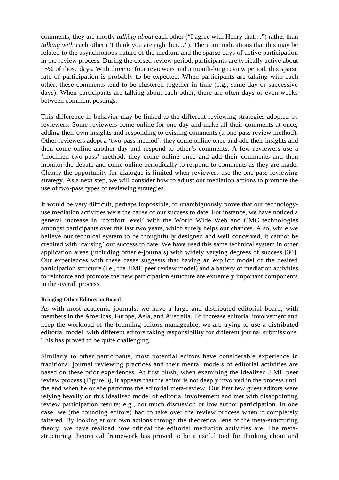comments, they are mostly *talking about* each other ("I agree with Henry that…") rather than *talking with* each other ("I think you are right but..."). There are indications that this may be related to the asynchronous nature of the medium and the sparse days of active participation in the review process. During the closed review period, participants are typically active about 15% of those days. With three or four reviewers and a month-long review period, this sparse rate of participation is probably to be expected. When participants are talking with each other, these comments tend to be clustered together in time (e.g., same day or successive days). When participants are talking about each other, there are often days or even weeks between comment postings.

This difference in behavior may be linked to the different reviewing strategies adopted by reviewers. Some reviewers come online for one day and make all their comments at once, adding their own insights and responding to existing comments (a one-pass review method). Other reviewers adopt a 'two-pass method': they come online once and add their insights and then come online another day and respond to other's comments. A few reviewers use a 'modified two-pass' method: they come online once and add their comments and then monitor the debate and come online periodically to respond to comments as they are made. Clearly the opportunity for dialogue is limited when reviewers use the one-pass reviewing strategy. As a next step, we will consider how to adjust our mediation actions to promote the use of two-pass types of reviewing strategies.

It would be very difficult, perhaps impossible, to unambiguously prove that our technologyuse mediation activities were the cause of our success to date. For instance, we have noticed a general increase in 'comfort level' with the World Wide Web and CMC technologies amongst participants over the last two years, which surely helps our chances. Also, while we believe our technical system to be thoughtfully designed and well conceived, it cannot be credited with 'causing' our success to date. We have used this same technical system in other application areas (including other e-journals) with widely varying degrees of success [30]. Our experiences with these cases suggests that having an explicit model of the desired participation structure (i.e., the JIME peer review model) and a battery of mediation activities to reinforce and promote the new participation structure are extremely important components in the overall process.

## **Bringing Other Editors on Board**

As with most academic journals, we have a large and distributed editorial board, with members in the Americas, Europe, Asia, and Australia. To increase editorial involvement and keep the workload of the founding editors manageable, we are trying to use a distributed editorial model, with different editors taking responsibility for different journal submissions. This has proved to be quite challenging!

Similarly to other participants, most potential editors have considerable experience in traditional journal reviewing practices and their mental models of editorial activities are based on these prior experiences. At first blush, when examining the idealized JIME peer review process (Figure 3), it appears that the editor is not deeply involved in the process until the end when he or she performs the editorial meta-review. Our first few guest editors were relying heavily on this idealized model of editorial involvement and met with disappointing review participation results; e.g., not much discussion or low author participation. In one case, we (the founding editors) had to take over the review process when it completely faltered. By looking at our own actions through the theoretical lens of the meta-structuring theory, we have realized how critical the editorial mediation activities are. The metastructuring theoretical framework has proved to be a useful tool for thinking about and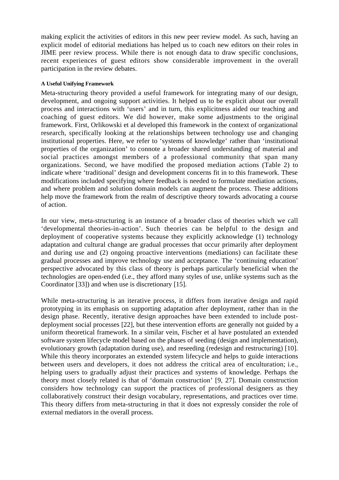making explicit the activities of editors in this new peer review model. As such, having an explicit model of editorial mediations has helped us to coach new editors on their roles in JIME peer review process. While there is not enough data to draw specific conclusions, recent experiences of guest editors show considerable improvement in the overall participation in the review debates.

## **A Useful Unifying Framework**

Meta-structuring theory provided a useful framework for integrating many of our design, development, and ongoing support activities. It helped us to be explicit about our overall process and interactions with 'users' and in turn, this explicitness aided our teaching and coaching of guest editors. We did however, make some adjustments to the original framework. First, Orlikowski et al developed this framework in the context of organizational research, specifically looking at the relationships between technology use and changing institutional properties. Here, we refer to 'systems of knowledge' rather than 'institutional properties of the organization' to connote a broader shared understanding of material and social practices amongst members of a professional community that span many organizations. Second, we have modified the proposed mediation actions (Table 2) to indicate where 'traditional' design and development concerns fit in to this framework. These modifications included specifying where feedback is needed to formulate mediation actions, and where problem and solution domain models can augment the process. These additions help move the framework from the realm of descriptive theory towards advocating a course of action.

In our view, meta-structuring is an instance of a broader class of theories which we call 'developmental theories-in-action'. Such theories can be helpful to the design and deployment of cooperative systems because they explicitly acknowledge (1) technology adaptation and cultural change are gradual processes that occur primarily after deployment and during use and (2) ongoing proactive interventions (mediations) can facilitate these gradual processes and improve technology use and acceptance. The 'continuing education' perspective advocated by this class of theory is perhaps particularly beneficial when the technologies are open-ended (i.e., they afford many styles of use, unlike systems such as the Coordinator [33]) and when use is discretionary [15].

While meta-structuring is an iterative process, it differs from iterative design and rapid prototyping in its emphasis on supporting adaptation after deployment, rather than in the design phase. Recently, iterative design approaches have been extended to include postdeployment social processes [22], but these intervention efforts are generally not guided by a uniform theoretical framework. In a similar vein, Fischer et al have postulated an extended software system lifecycle model based on the phases of seeding (design and implementation), evolutionary growth (adaptation during use), and reseeding (redesign and restructuring) [10]. While this theory incorporates an extended system lifecycle and helps to guide interactions between users and developers, it does not address the critical area of enculturation; i.e., helping users to gradually adjust their practices and systems of knowledge. Perhaps the theory most closely related is that of 'domain construction' [9, 27]. Domain construction considers how technology can support the practices of professional designers as they collaboratively construct their design vocabulary, representations, and practices over time. This theory differs from meta-structuring in that it does not expressly consider the role of external mediators in the overall process.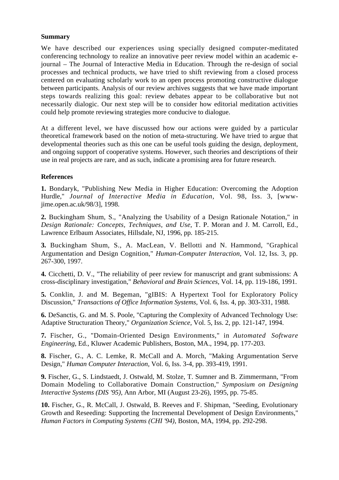## **Summary**

We have described our experiences using specially designed computer-meditated conferencing technology to realize an innovative peer review model within an academic ejournal – The Journal of Interactive Media in Education. Through the re-design of social processes and technical products, we have tried to shift reviewing from a closed process centered on evaluating scholarly work to an open process promoting constructive dialogue between participants. Analysis of our review archives suggests that we have made important steps towards realizing this goal: review debates appear to be collaborative but not necessarily dialogic. Our next step will be to consider how editorial meditation activities could help promote reviewing strategies more conducive to dialogue.

At a different level, we have discussed how our actions were guided by a particular theoretical framework based on the notion of meta-structuring. We have tried to argue that developmental theories such as this one can be useful tools guiding the design, deployment, and ongoing support of cooperative systems. However, such theories and descriptions of their use in real projects are rare, and as such, indicate a promising area for future research.

# **References**

**1.** Bondaryk, "Publishing New Media in Higher Education: Overcoming the Adoption Hurdle," *Journal of Interactive Media in Education,* Vol. 98, Iss. 3, [wwwjime.open.ac.uk/98/3], 1998.

**2.** Buckingham Shum, S., "Analyzing the Usability of a Design Rationale Notation," in *Design Rationale: Concepts, Techniques, and Use*, T. P. Moran and J. M. Carroll, Ed., Lawrence Erlbaum Associates, Hillsdale, NJ, 1996, pp. 185-215.

**3.** Buckingham Shum, S., A. MacLean, V. Bellotti and N. Hammond, "Graphical Argumentation and Design Cognition," *Human-Computer Interaction,* Vol. 12, Iss. 3, pp. 267-300, 1997.

**4.** Cicchetti, D. V., "The reliability of peer review for manuscript and grant submissions: A cross-disciplinary investigation," *Behavioral and Brain Sciences,* Vol. 14, pp. 119-186, 1991.

**5.** Conklin, J. and M. Begeman, "gIBIS: A Hypertext Tool for Exploratory Policy Discussion," *Transactions of Office Information Systems,* Vol. 6, Iss. 4, pp. 303-331, 1988.

**6.** DeSanctis, G. and M. S. Poole, "Capturing the Complexity of Advanced Technology Use: Adaptive Structuration Theory," *Organization Science,* Vol. 5, Iss. 2, pp. 121-147, 1994.

**7.** Fischer, G., "Domain-Oriented Design Environments," in *Automated Software Engineering*, Ed., Kluwer Academic Publishers, Boston, MA., 1994, pp. 177-203.

**8.** Fischer, G., A. C. Lemke, R. McCall and A. Morch, "Making Argumentation Serve Design," *Human Computer Interaction,* Vol. 6, Iss. 3-4, pp. 393-419, 1991.

**9.** Fischer, G., S. Lindstaedt, J. Ostwald, M. Stolze, T. Sumner and B. Zimmermann, "From Domain Modeling to Collaborative Domain Construction," *Symposium on Designing Interactive Systems (DIS '95)*, Ann Arbor, MI (August 23-26), 1995, pp. 75-85.

**10.** Fischer, G., R. McCall, J. Ostwald, B. Reeves and F. Shipman, "Seeding, Evolutionary Growth and Reseeding: Supporting the Incremental Development of Design Environments," *Human Factors in Computing Systems (CHI '94)*, Boston, MA, 1994, pp. 292-298.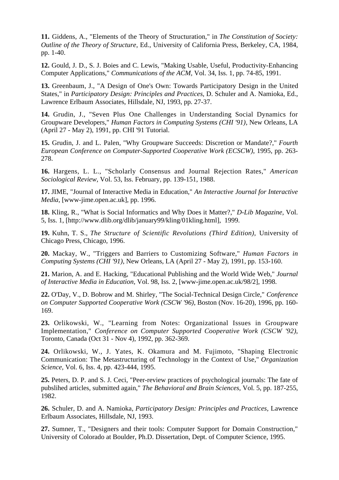**11.** Giddens, A., "Elements of the Theory of Structuration," in *The Constitution of Society: Outline of the Theory of Structure*, Ed., University of California Press, Berkeley, CA, 1984, pp. 1-40.

**12.** Gould, J. D., S. J. Boies and C. Lewis, "Making Usable, Useful, Productivity-Enhancing Computer Applications," *Communications of the ACM,* Vol. 34, Iss. 1, pp. 74-85, 1991.

**13.** Greenbaum, J., "A Design of One's Own: Towards Participatory Design in the United States," in *Participatory Design: Principles and Practices*, D. Schuler and A. Namioka, Ed., Lawrence Erlbaum Associates, Hillsdale, NJ, 1993, pp. 27-37.

**14.** Grudin, J., "Seven Plus One Challenges in Understanding Social Dynamics for Groupware Developers," *Human Factors in Computing Systems (CHI '91)*, New Orleans, LA (April 27 - May 2), 1991, pp. CHI '91 Tutorial.

**15.** Grudin, J. and L. Palen, "Why Groupware Succeeds: Discretion or Mandate?," *Fourth European Conference on Computer-Supported Cooperative Work (ECSCW)*, 1995, pp. 263- 278.

**16.** Hargens, L. L., "Scholarly Consensus and Journal Rejection Rates," *American Sociological Review,* Vol. 53, Iss. February, pp. 139-151, 1988.

**17.** JIME, "Journal of Interactive Media in Education," *An Interactive Journal for Interactive Media,* [www-jime.open.ac.uk], pp. 1996.

**18.** Kling, R., "What is Social Informatics and Why Does it Matter?," *D-Lib Magazine,* Vol. 5, Iss. 1, [http://www.dlib.org/dlib/january99/kling/01kling.html], 1999.

**19.** Kuhn, T. S., *The Structure of Scientific Revolutions (Third Edition),* University of Chicago Press, Chicago, 1996.

**20.** Mackay, W., "Triggers and Barriers to Customizing Software," *Human Factors in Computing Systems (CHI '91)*, New Orleans, LA (April 27 - May 2), 1991, pp. 153-160.

**21.** Marion, A. and E. Hacking, "Educational Publishing and the World Wide Web," *Journal of Interactive Media in Education,* Vol. 98, Iss. 2, [www-jime.open.ac.uk/98/2], 1998.

**22.** O'Day, V., D. Bobrow and M. Shirley, "The Social-Technical Design Circle," *Conference on Computer Supported Cooperative Work (CSCW '96)*, Boston (Nov. 16-20), 1996, pp. 160- 169.

**23.** Orlikowski, W., "Learning from Notes: Organizational Issues in Groupware Implementation," *Conference on Computer Supported Cooperative Work (CSCW '92)*, Toronto, Canada (Oct 31 - Nov 4), 1992, pp. 362-369.

**24.** Orlikowski, W., J. Yates, K. Okamura and M. Fujimoto, "Shaping Electronic Communication: The Metastructuring of Technology in the Context of Use," *Organization Science,* Vol. 6, Iss. 4, pp. 423-444, 1995.

**25.** Peters, D. P. and S. J. Ceci, "Peer-review practices of psychological journals: The fate of pubslihed articles, submitted again," *The Behavioral and Brain Sciences,* Vol. 5, pp. 187-255, 1982.

**26.** Schuler, D. and A. Namioka, *Participatory Design: Principles and Practices,* Lawrence Erlbaum Associates, Hillsdale, NJ, 1993.

**27.** Sumner, T., "Designers and their tools: Computer Support for Domain Construction," University of Colorado at Boulder, Ph.D. Dissertation, Dept. of Computer Science, 1995.